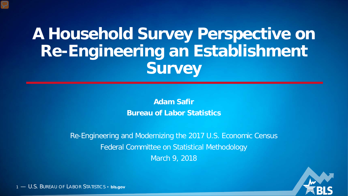### **A Household Survey Perspective on Re-Engineering an Establishment Survey**

**Adam Safir Bureau of Labor Statistics**

Re-Engineering and Modernizing the 2017 U.S. Economic Census Federal Committee on Statistical Methodology March 9, 2018

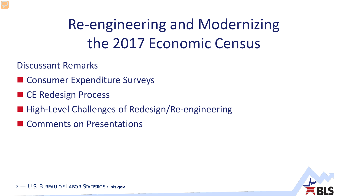### Re-engineering and Modernizing the 2017 Economic Census

Discussant Remarks

- Consumer Expenditure Surveys
- CE Redesign Process
- High-Level Challenges of Redesign/Re-engineering
- **E** Comments on Presentations

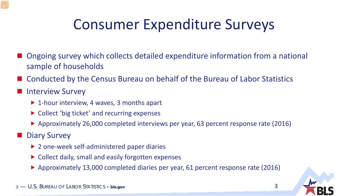### Consumer Expenditure Surveys

- Ongoing survey which collects detailed expenditure information from a national sample of households
- Conducted by the Census Bureau on behalf of the Bureau of Labor Statistics
- Interview Survey
	- ▶ 1-hour interview, 4 waves, 3 months apart
	- ▶ Collect 'big ticket' and recurring expenses
	- Approximately 26,000 completed interviews per year, 63 percent response rate (2016)

Diary Survey

- ▶ 2 one-week self-administered paper diaries
- ▶ Collect daily, small and easily forgotten expenses
- Approximately 13,000 completed diaries per year, 61 percent response rate (2016)



3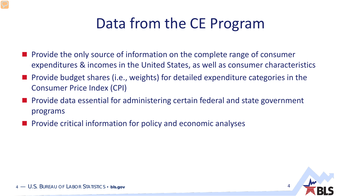### Data from the CE Program

- **Perovide the only source of information on the complete range of consumer** expenditures & incomes in the United States, as well as consumer characteristics
- **Provide budget shares (i.e., weights) for detailed expenditure categories in the** Consumer Price Index (CPI)
- **Provide data essential for administering certain federal and state government** programs
- $\blacksquare$  Provide critical information for policy and economic analyses

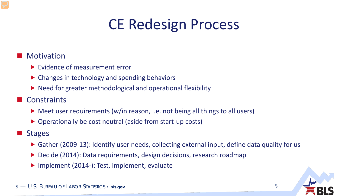### CE Redesign Process

#### **Motivation**

- ▶ Evidence of measurement error
- ▶ Changes in technology and spending behaviors
- $\triangleright$  Need for greater methodological and operational flexibility
- Constraints
	- ▶ Meet user requirements (w/in reason, i.e. not being all things to all users)
	- ▶ Operationally be cost neutral (aside from start-up costs)

#### **Stages**

- ▶ Gather (2009-13): Identify user needs, collecting external input, define data quality for us
- ▶ Decide (2014): Data requirements, design decisions, research roadmap
- ▶ Implement (2014-): Test, implement, evaluate



5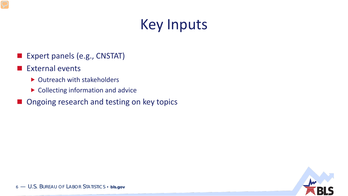### Key Inputs

- Expert panels (e.g., CNSTAT)
- External events
	- ▶ Outreach with stakeholders
	- ▶ Collecting information and advice
- **Ongoing research and testing on key topics**

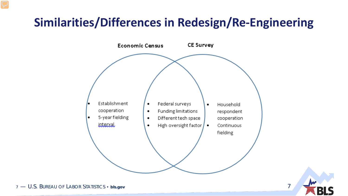### **Similarities/Differences in Redesign/Re-Engineering**



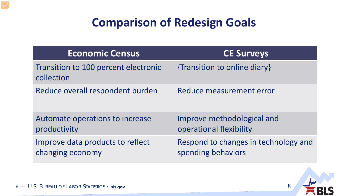### **Comparison of Redesign Goals**

| <b>Economic Census</b>                               | <b>CE Surveys</b>                                          |
|------------------------------------------------------|------------------------------------------------------------|
| Transition to 100 percent electronic<br>collection   | {Transition to online diary}                               |
| Reduce overall respondent burden                     | Reduce measurement error                                   |
| Automate operations to increase<br>productivity      | Improve methodological and<br>operational flexibility      |
| Improve data products to reflect<br>changing economy | Respond to changes in technology and<br>spending behaviors |

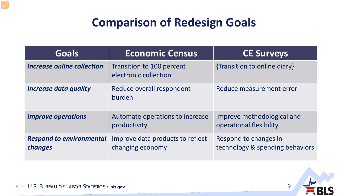### **Comparison of Redesign Goals**

| <b>Goals</b>                               | <b>Economic Census</b>                                    | <b>CE Surveys</b>                                        |
|--------------------------------------------|-----------------------------------------------------------|----------------------------------------------------------|
| Increase online collection                 | <b>Transition to 100 percent</b><br>electronic collection | {Transition to online diary}                             |
| <b>Increase data quality</b>               | Reduce overall respondent<br>burden                       | Reduce measurement error                                 |
| <b>Improve operations</b>                  | Automate operations to increase<br>productivity           | Improve methodological and<br>operational flexibility    |
| <b>Respond to environmental</b><br>changes | Improve data products to reflect<br>changing economy      | Respond to changes in<br>technology & spending behaviors |

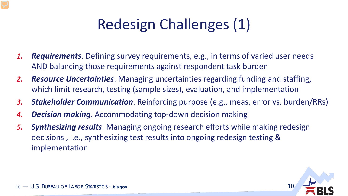### Redesign Challenges (1)

- *1. Requirements*. Defining survey requirements, e.g., in terms of varied user needs AND balancing those requirements against respondent task burden
- *2. Resource Uncertainties*. Managing uncertainties regarding funding and staffing, which limit research, testing (sample sizes), evaluation, and implementation
- *3. Stakeholder Communication*. Reinforcing purpose (e.g., meas. error vs. burden/RRs)
- *4. Decision making*. Accommodating top-down decision making
- *5. Synthesizing results*. Managing ongoing research efforts while making redesign decisions , i.e., synthesizing test results into ongoing redesign testing & implementation

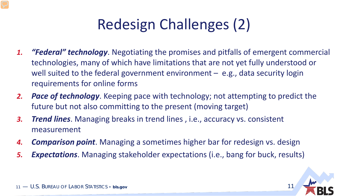### Redesign Challenges (2)

- *1. "Federal" technology*. Negotiating the promises and pitfalls of emergent commercial technologies, many of which have limitations that are not yet fully understood or well suited to the federal government environment  $-$  e.g., data security login requirements for online forms
- *2. Pace of technology*. Keeping pace with technology; not attempting to predict the future but not also committing to the present (moving target)
- *3. Trend lines*. Managing breaks in trend lines , i.e., accuracy vs. consistent measurement
- *4. Comparison point*. Managing a sometimes higher bar for redesign vs. design
- *5. Expectations*. Managing stakeholder expectations (i.e., bang for buck, results)

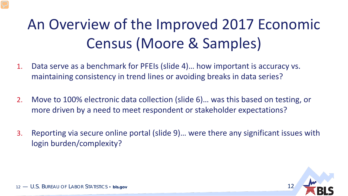# An Overview of the Improved 2017 Economic Census (Moore & Samples)

- 1. Data serve as a benchmark for PFEIs (slide 4)… how important is accuracy vs. maintaining consistency in trend lines or avoiding breaks in data series?
- 2. Move to 100% electronic data collection (slide 6)… was this based on testing, or more driven by a need to meet respondent or stakeholder expectations?
- 3. Reporting via secure online portal (slide 9)… were there any significant issues with login burden/complexity?

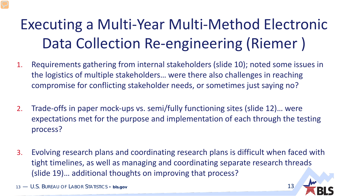## Executing a Multi-Year Multi-Method Electronic Data Collection Re-engineering (Riemer )

- 1. Requirements gathering from internal stakeholders (slide 10); noted some issues in the logistics of multiple stakeholders… were there also challenges in reaching compromise for conflicting stakeholder needs, or sometimes just saying no?
- 2. Trade-offs in paper mock-ups vs. semi/fully functioning sites (slide 12)… were expectations met for the purpose and implementation of each through the testing process?
- 3. Evolving research plans and coordinating research plans is difficult when faced with tight timelines, as well as managing and coordinating separate research threads (slide 19)… additional thoughts on improving that process?

13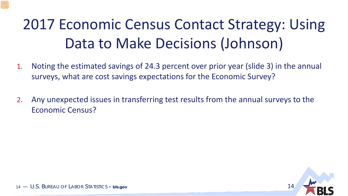### 2017 Economic Census Contact Strategy: Using Data to Make Decisions (Johnson)

- 1. Noting the estimated savings of 24.3 percent over prior year (slide 3) in the annual surveys, what are cost savings expectations for the Economic Survey?
- 2. Any unexpected issues in transferring test results from the annual surveys to the Economic Census?

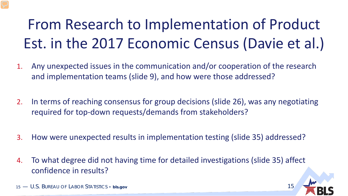# From Research to Implementation of Product Est. in the 2017 Economic Census (Davie et al.)

- 1. Any unexpected issues in the communication and/or cooperation of the research and implementation teams (slide 9), and how were those addressed?
- 2. In terms of reaching consensus for group decisions (slide 26), was any negotiating required for top-down requests/demands from stakeholders?
- 3. How were unexpected results in implementation testing (slide 35) addressed?
- 4. To what degree did not having time for detailed investigations (slide 35) affect confidence in results?

15